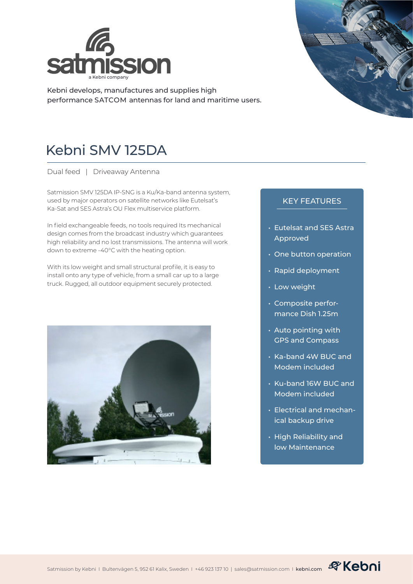

Kebni develops, manufactures and supplies high performance SATCOM antennas for land and maritime users.



## Kebni SMV 125DA

Dual feed | Driveaway Antenna

Satmission SMV 125DA IP-SNG is a Ku/Ka-band antenna system, used by major operators on satellite networks like Eutelsat's Ka-Sat and SES Astra's OU Flex multiservice platform.

In field exchangeable feeds, no tools required Its mechanical design comes from the broadcast industry which guarantees high reliability and no lost transmissions. The antenna will work down to extreme -40°C with the heating option.

With its low weight and small structural profile, it is easy to install onto any type of vehicle, from a small car up to a large truck. Rugged, all outdoor equipment securely protected.



## KEY FEATURES

- Eutelsat and SES Astra Approved
- One button operation
- Rapid deployment
- Low weight
- Composite performance Dish 1.25m
- Auto pointing with GPS and Compass
- Ka-band 4W BUC and Modem included
- Ku-band 16W BUC and Modem included
- Electrical and mechanical backup drive
- High Reliability and low Maintenance